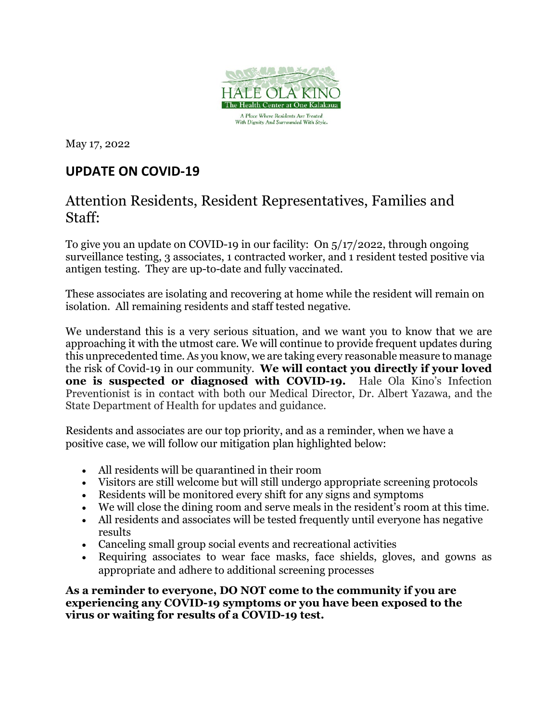

May 17, 2022

## **UPDATE ON COVID-19**

## Attention Residents, Resident Representatives, Families and Staff:

To give you an update on COVID-19 in our facility: On 5/17/2022, through ongoing surveillance testing, 3 associates, 1 contracted worker, and 1 resident tested positive via antigen testing. They are up-to-date and fully vaccinated.

These associates are isolating and recovering at home while the resident will remain on isolation. All remaining residents and staff tested negative.

We understand this is a very serious situation, and we want you to know that we are approaching it with the utmost care. We will continue to provide frequent updates during this unprecedented time. As you know, we are taking every reasonable measure to manage the risk of Covid-19 in our community. **We will contact you directly if your loved one is suspected or diagnosed with COVID-19.** Hale Ola Kino's Infection Preventionist is in contact with both our Medical Director, Dr. Albert Yazawa, and the State Department of Health for updates and guidance.

Residents and associates are our top priority, and as a reminder, when we have a positive case, we will follow our mitigation plan highlighted below:

- All residents will be quarantined in their room
- Visitors are still welcome but will still undergo appropriate screening protocols
- Residents will be monitored every shift for any signs and symptoms
- We will close the dining room and serve meals in the resident's room at this time.
- All residents and associates will be tested frequently until everyone has negative results
- Canceling small group social events and recreational activities
- Requiring associates to wear face masks, face shields, gloves, and gowns as appropriate and adhere to additional screening processes

**As a reminder to everyone, DO NOT come to the community if you are experiencing any COVID-19 symptoms or you have been exposed to the virus or waiting for results of a COVID-19 test.**